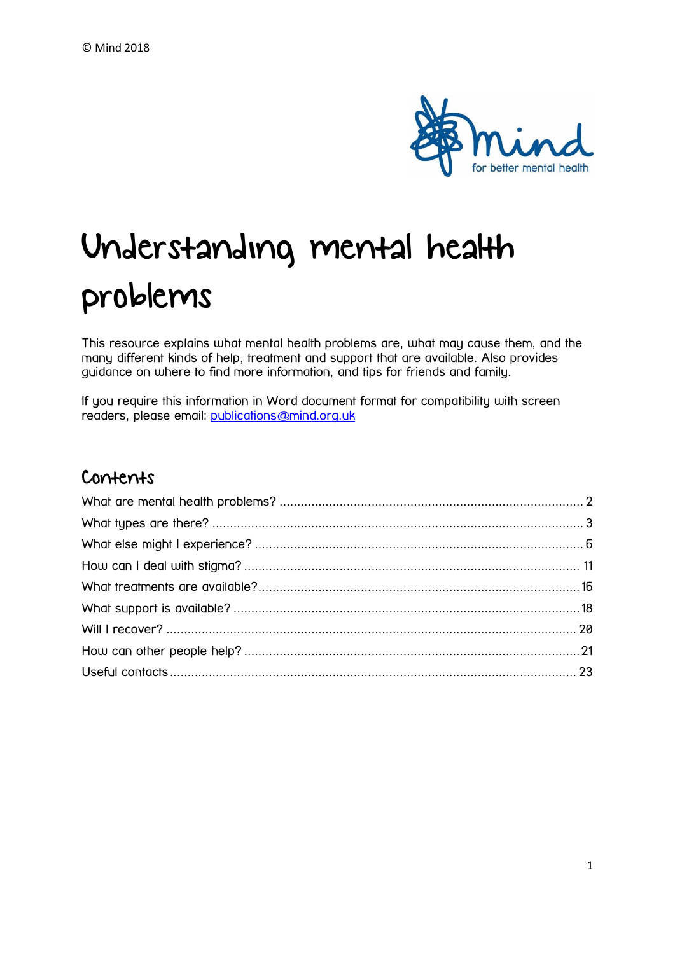

# Understanding mental health problems

This resource explains what mental health problems are, what may cause them, and the many different kinds of help, treatment and support that are available. Also provides guidance on where to find more information, and tips for friends and family.

If you require this information in Word document format for compatibility with screen readers, please email: [publications@mind.org.uk](mailto:publications@mind.org.uk)

## Contents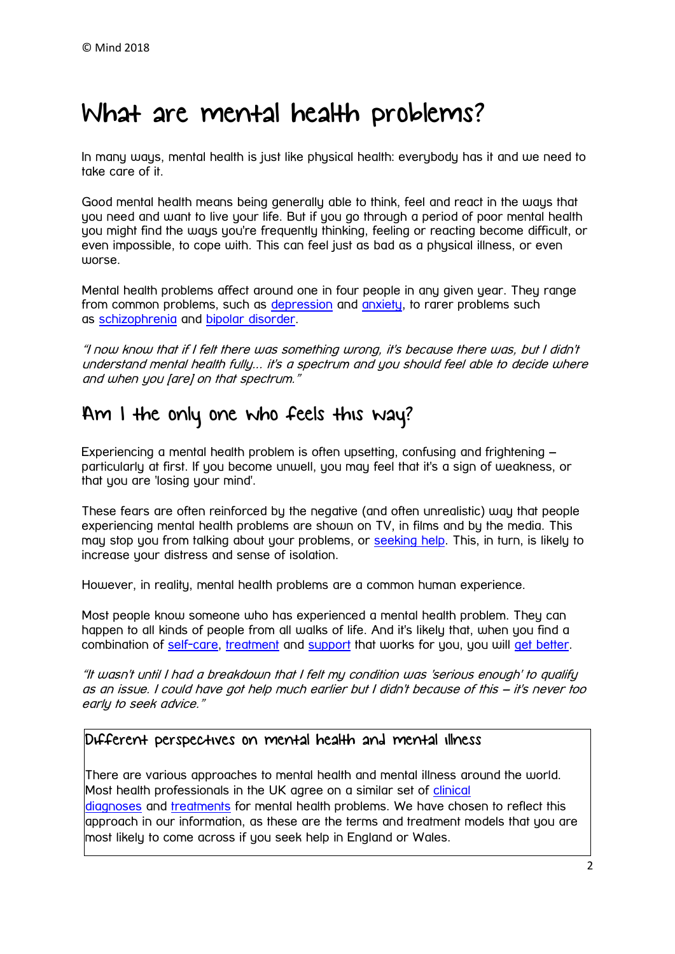# <span id="page-1-0"></span>What are mental health problems?

In many ways, mental health is just like physical health: everybody has it and we need to take care of it.

Good mental health means being generally able to think, feel and react in the ways that you need and want to live your life. But if you go through a period of poor mental health you might find the ways you're frequently thinking, feeling or reacting become difficult, or even impossible, to cope with. This can feel just as bad as a physical illness, or even worse.

Mental health problems affect around one in four people in any given year. They range from common problems, such as [depression](https://www.mind.org.uk/information-support/types-of-mental-health-problems/depression/) and [anxiety,](https://www.mind.org.uk/information-support/types-of-mental-health-problems/anxiety-and-panic-attacks/) to rarer problems such as [schizophrenia](https://www.mind.org.uk/information-support/types-of-mental-health-problems/schizophrenia/) and [bipolar disorder.](https://www.mind.org.uk/information-support/types-of-mental-health-problems/bipolar-disorder/)

"I now know that if I felt there was something wrong, it's because there was, but I didn't understand mental health fully... it's a spectrum and you should feel able to decide where and when you [are] on that spectrum."

## Am I the only one who feels this way?

Experiencing a mental health problem is often upsetting, confusing and frightening – particularly at first. If you become unwell, you may feel that it's a sign of weakness, or that you are 'losing your mind'.

These fears are often reinforced by the negative (and often unrealistic) way that people experiencing mental health problems are shown on TV, in films and by the media. This may stop you from talking about your problems, or [seeking help.](https://www.mind.org.uk/information-support/guides-to-support-and-services/seeking-help-for-a-mental-health-problem/) This, in turn, is likely to increase your distress and sense of isolation.

However, in reality, mental health problems are a common human experience.

Most people know someone who has experienced a mental health problem. They can happen to all kinds of people from all walks of life. And it's likely that, when you find a combination of [self-care,](https://www.mind.org.uk/information-support/types-of-mental-health-problems/mental-health-problems-introduction/self-care/) [treatment](https://www.mind.org.uk/information-support/types-of-mental-health-problems/mental-health-problems-introduction/treatment-options/) and [support](https://www.mind.org.uk/information-support/types-of-mental-health-problems/mental-health-problems-introduction/support-services/) that works for you, you will [get better.](https://www.mind.org.uk/information-support/types-of-mental-health-problems/mental-health-problems-introduction/recovery/)

"It wasn't until I had a breakdown that I felt my condition was 'serious enough' to qualify as an issue. I could have got help much earlier but I didn't because of this – it's never too early to seek advice."

#### Different perspectives on mental health and mental illness

There are various approaches to mental health and mental illness around the world. Most health professionals in the UK agree on a similar set of clinical [diagnoses](https://www.mind.org.uk/information-support/types-of-mental-health-problems/) and [treatments](https://www.mind.org.uk/information-support/drugs-and-treatments/) for mental health problems. We have chosen to reflect this approach in our information, as these are the terms and treatment models that you are most likely to come across if you seek help in England or Wales.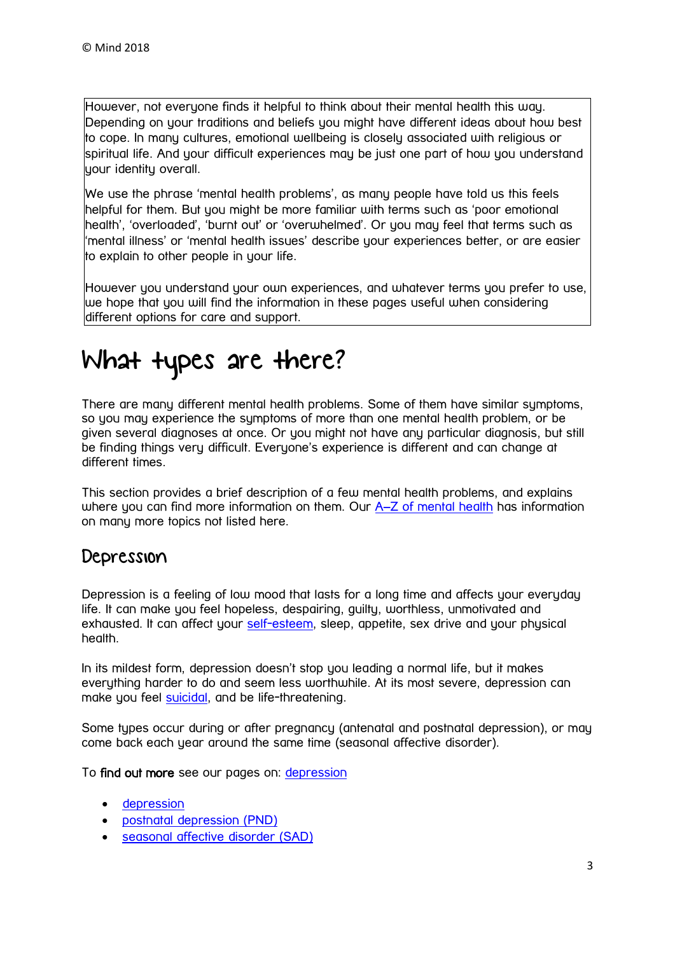However, not everyone finds it helpful to think about their mental health this way. Depending on your traditions and beliefs you might have different ideas about how best to cope. In many cultures, emotional wellbeing is closely associated with religious or spiritual life. And your difficult experiences may be just one part of how you understand uour identitu overall.

We use the phrase 'mental health problems', as many people have told us this feels helpful for them. But you might be more familiar with terms such as 'poor emotional health', 'overloaded', 'burnt out' or 'overwhelmed'. Or you may feel that terms such as 'mental illness' or 'mental health issues' describe your experiences better, or are easier to explain to other people in your life.

However you understand your own experiences, and whatever terms you prefer to use, we hope that you will find the information in these pages useful when considering different options for care and support.

# <span id="page-2-0"></span>What types are there?

There are many different mental health problems. Some of them have similar symptoms, so you may experience the symptoms of more than one mental health problem, or be given several diagnoses at once. Or you might not have any particular diagnosis, but still be finding things very difficult. Everyone's experience is different and can change at different times.

This section provides a brief description of a few mental health problems, and explains where you can find more information on them. Our A–[Z of mental health](https://www.mind.org.uk/information-support/a-z-mental-health/) has information on many more topics not listed here.

### Depression

Depression is a feeling of low mood that lasts for a long time and affects your everyday life. It can make you feel hopeless, despairing, guilty, worthless, unmotivated and exhausted. It can affect your [self-esteem,](https://www.mind.org.uk/information-support/types-of-mental-health-problems/self-esteem/) sleep, appetite, sex drive and your physical health.

In its mildest form, depression doesn't stop you leading a normal life, but it makes everything harder to do and seem less worthwhile. At its most severe, depression can make you feel [suicidal,](https://www.mind.org.uk/information-support/types-of-mental-health-problems/suicidal-feelings/) and be life-threatening.

Some types occur during or after pregnancy (antenatal and postnatal depression), or may come back each year around the same time (seasonal affective disorder).

To find out more see our pages on: [depression](https://www.mind.org.uk/information-support/types-of-mental-health-problems/depression/)

- [depression](https://www.mind.org.uk/information-support/types-of-mental-health-problems/depression/)
- [postnatal depression \(PND\)](https://www.mind.org.uk/information-support/types-of-mental-health-problems/postnatal-depression-and-perinatal-mental-health/)
- [seasonal affective disorder \(SAD\)](https://www.mind.org.uk/information-support/types-of-mental-health-problems/seasonal-affective-disorder-sad/)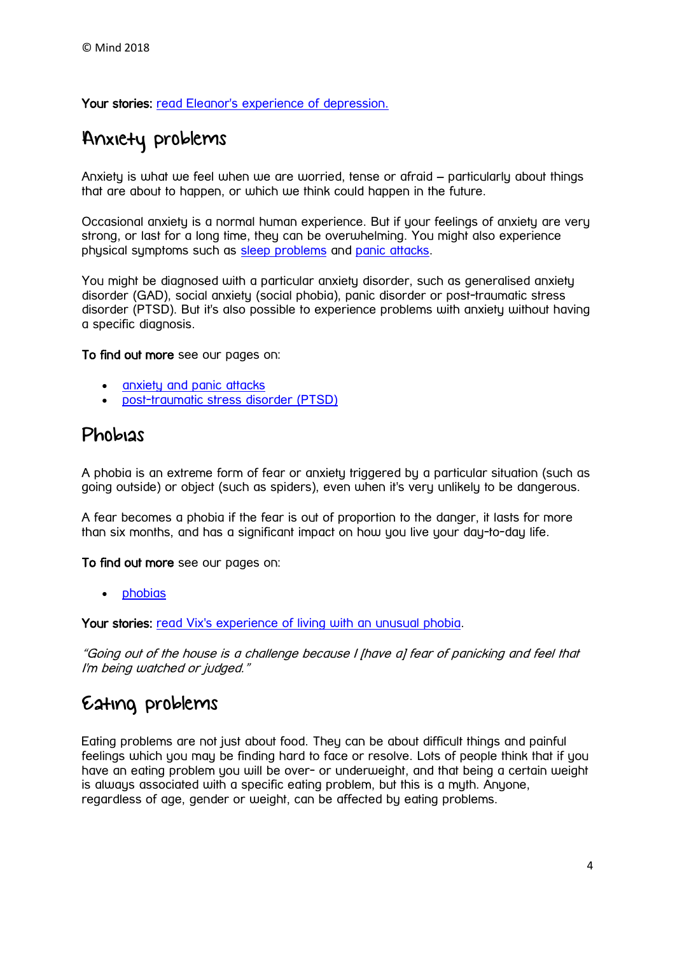Your stories: [read Eleanor's experience of depression.](https://www.mind.org.uk/information-support/your-stories/bringing-back-joy-to-fight-depression/)

## Anxiety problems

Anxiety is what we feel when we are worried, tense or afraid – particularly about things that are about to happen, or which we think could happen in the future.

Occasional anxiety is a normal human experience. But if your feelings of anxiety are very strong, or last for a long time, they can be overwhelming. You might also experience physical symptoms such as [sleep problems](https://www.mind.org.uk/information-support/types-of-mental-health-problems/sleep-problems/) and [panic attacks.](https://www.mind.org.uk/information-support/types-of-mental-health-problems/anxiety-and-panic-attacks/panic-attacks/)

You might be diagnosed with a particular anxiety disorder, such as generalised anxiety disorder (GAD), social anxiety (social phobia), panic disorder or post-traumatic stress disorder (PTSD). But it's also possible to experience problems with anxiety without having a specific diagnosis.

To find out more see our pages on:

- [anxiety and panic attacks](https://www.mind.org.uk/information-support/types-of-mental-health-problems/anxiety-and-panic-attacks/)
- [post-traumatic stress disorder \(PTSD\)](https://www.mind.org.uk/information-support/types-of-mental-health-problems/post-traumatic-stress-disorder-ptsd/)

### Phobias

A phobia is an extreme form of fear or anxiety triggered by a particular situation (such as going outside) or object (such as spiders), even when it's very unlikely to be dangerous.

A fear becomes a phobia if the fear is out of proportion to the danger, it lasts for more than six months, and has a significant impact on how you live your day-to-day life.

To find out more see our pages on:

• **[phobias](https://www.mind.org.uk/information-support/types-of-mental-health-problems/phobias/)** 

Your stories: read Vix's experience of [living with an unusual phobia.](https://www.mind.org.uk/information-support/your-stories/living-with-my-phobia-of-bananas/#.WOyQIrsrIlI)

"Going out of the house is a challenge because I [have a] fear of panicking and feel that I'm being watched or judged."

## Eating problems

Eating problems are not just about food. They can be about difficult things and painful feelings which you may be finding hard to face or resolve. Lots of people think that if you have an eating problem you will be over- or underweight, and that being a certain weight is always associated with a specific eating problem, but this is a myth. Anyone, regardless of age, gender or weight, can be affected by eating problems.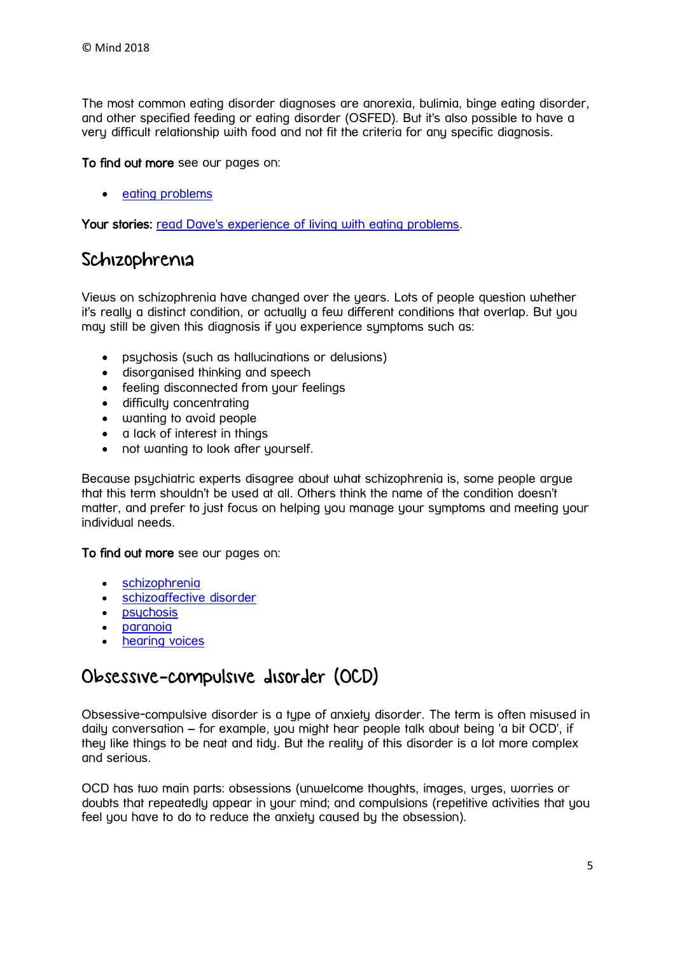The most common eating disorder diagnoses are anorexia, bulimia, binge eating disorder, and other specified feeding or eating disorder (OSFED). But it's also possible to have a very difficult relationship with food and not fit the criteria for any specific diagnosis.

#### To find out more see our pages on:

• [eating problems](https://www.mind.org.uk/information-support/types-of-mental-health-problems/eating-problems/)

Your stories: read Dave's experience of [living with eating problems.](https://www.mind.org.uk/information-support/your-stories/talking-about-eating-problems/#.WOyQgbsrIlI)

### Schizophrenia

Views on schizophrenia have changed over the years. Lots of people question whether it's really a distinct condition, or actually a few different conditions that overlap. But you may still be given this diagnosis if you experience symptoms such as:

- psychosis (such as hallucinations or delusions)
- disorganised thinking and speech
- feeling disconnected from your feelings
- difficulty concentrating
- wanting to avoid people
- a lack of interest in things
- not wanting to look after yourself.

Because psychiatric experts disagree about what schizophrenia is, some people argue that this term shouldn't be used at all. Others think the name of the condition doesn't matter, and prefer to just focus on helping you manage your symptoms and meeting your individual needs.

#### To find out more see our pages on:

- [schizophrenia](https://www.mind.org.uk/information-support/types-of-mental-health-problems/schizophrenia/)
- [schizoaffective disorder](https://www.mind.org.uk/information-support/types-of-mental-health-problems/schizoaffective-disorder/)
- [psychosis](https://www.mind.org.uk/information-support/types-of-mental-health-problems/psychosis/)
- [paranoia](https://www.mind.org.uk/information-support/types-of-mental-health-problems/paranoia/)
- [hearing voices](https://www.mind.org.uk/information-support/types-of-mental-health-problems/hearing-voices/)

### Obsessive-compulsive disorder (OCD)

Obsessive-compulsive disorder is a type of anxiety disorder. The term is often misused in daily conversation – for example, you might hear people talk about being 'a bit OCD', if they like things to be neat and tidy. But the reality of this disorder is a lot more complex and serious.

OCD has two main parts: obsessions (unwelcome thoughts, images, urges, worries or doubts that repeatedly appear in your mind; and compulsions (repetitive activities that you feel you have to do to reduce the anxiety caused by the obsession).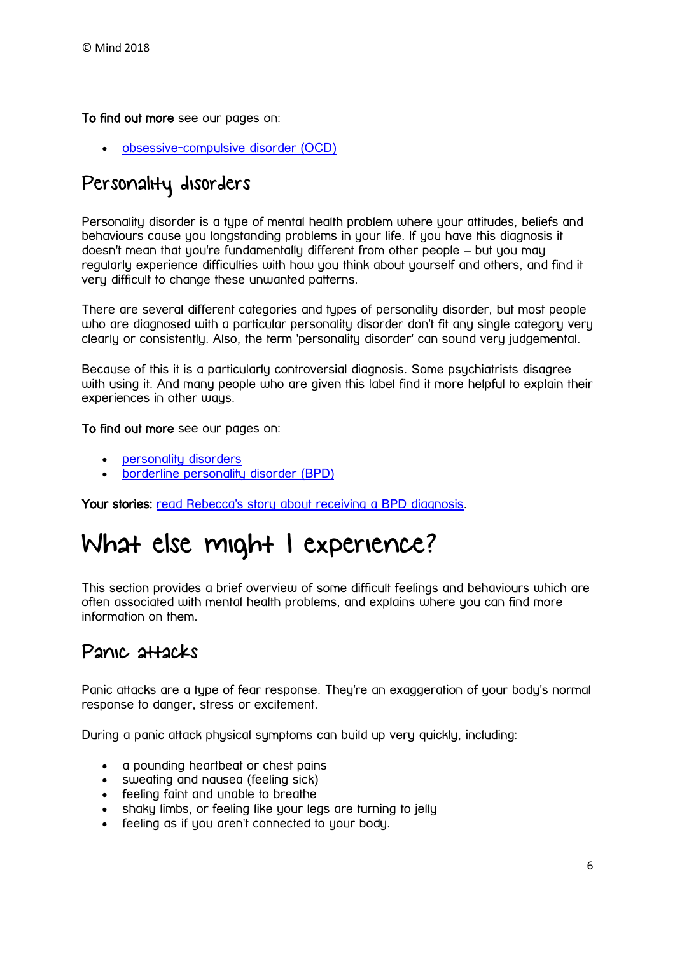To find out more see our pages on:

[obsessive-compulsive disorder \(OCD\)](https://www.mind.org.uk/information-support/types-of-mental-health-problems/obsessive-compulsive-disorder-ocd/)

# Personality disorders

Personality disorder is a type of mental health problem where your attitudes, beliefs and behaviours cause you longstanding problems in your life. If you have this diagnosis it doesn't mean that you're fundamentally different from other people – but you may regularly experience difficulties with how you think about yourself and others, and find it very difficult to change these unwanted patterns.

There are several different categories and types of personality disorder, but most people who are diagnosed with a particular personality disorder don't fit any single category very clearly or consistently. Also, the term 'personality disorder' can sound very judgemental.

Because of this it is a particularly controversial diagnosis. Some psychiatrists disagree with using it. And many people who are given this label find it more helpful to explain their experiences in other ways.

#### To find out more see our pages on:

- [personality disorders](https://www.mind.org.uk/information-support/types-of-mental-health-problems/personality-disorders/)
- [borderline personality disorder \(BPD\)](https://www.mind.org.uk/information-support/types-of-mental-health-problems/borderline-personality-disorder-bpd/)

Your stories: [read Rebecca's story about](https://www.mind.org.uk/information-support/your-stories/having-a-bpd-diagnosis-my-reality/#.WOyS47srIlI) receiving a BPD diagnosis.

# <span id="page-5-0"></span>What else might I experience?

This section provides a brief overview of some difficult feelings and behaviours which are often associated with mental health problems, and explains where you can find more information on them.

## Panic attacks

Panic attacks are a tupe of fear response. They're an exaggeration of your body's normal response to danger, stress or excitement.

During a panic attack physical symptoms can build up very quickly, including:

- a pounding heartbeat or chest pains
- sweating and nausea (feeling sick)
- feeling faint and unable to breathe
- shaky limbs, or feeling like your legs are turning to jelly
- feeling as if you aren't connected to your body.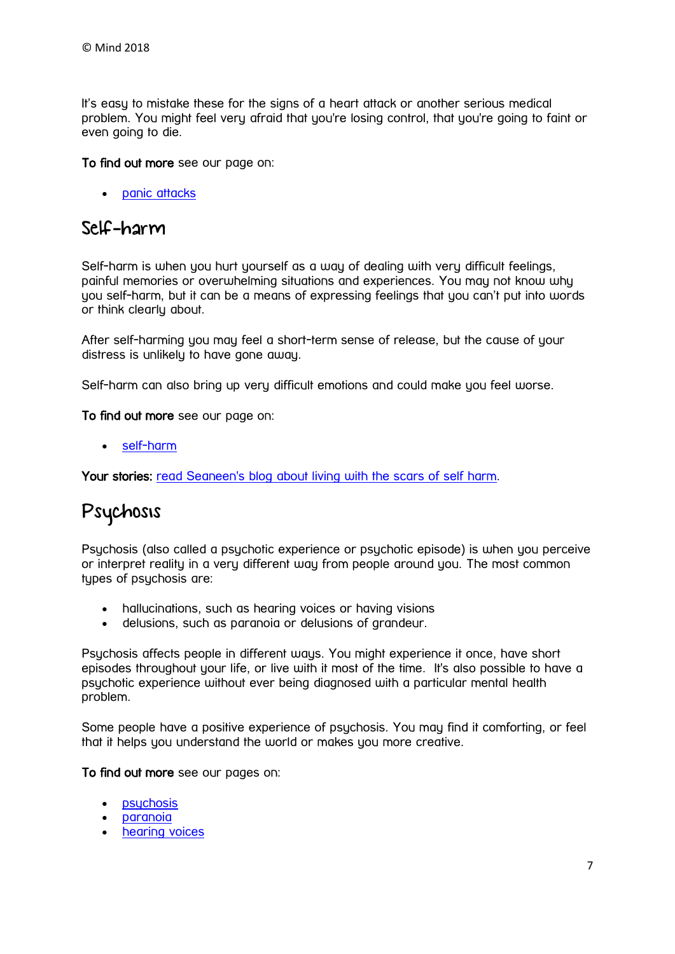It's easy to mistake these for the signs of a heart attack or another serious medical problem. You might feel very afraid that you're losing control, that you're going to faint or even going to die.

#### To find out more see our page on:

• **[panic attacks](https://www.mind.org.uk/information-support/types-of-mental-health-problems/anxiety-and-panic-attacks/panic-attacks/)** 

### Self-harm

Self-harm is when you hurt yourself as a way of dealing with very difficult feelings, painful memories or overwhelming situations and experiences. You may not know why you self-harm, but it can be a means of expressing feelings that you can't put into words or think clearly about.

After self-harming you may feel a short-term sense of release, but the cause of your distress is unlikely to have gone away.

Self-harm can also bring up very difficult emotions and could make you feel worse.

To find out more see our page on:

[self-harm](https://www.mind.org.uk/information-support/types-of-mental-health-problems/self-harm/)

Your stories: [read Seaneen's blog about living with the scars of self harm.](https://www.mind.org.uk/information-support/your-stories/my-body-comes-with-a-trigger-warning/#.WOOmRWQrKAx)

# Psychosis

Psychosis (also called a psychotic experience or psychotic episode) is when you perceive or interpret reality in a very different way from people around you. The most common types of psychosis are:

- hallucinations, such as hearing voices or having visions
- delusions, such as paranoia or delusions of grandeur.

Psuchosis affects people in different ways. You might experience it once, have short episodes throughout your life, or live with it most of the time. It's also possible to have a psychotic experience without ever being diagnosed with a particular mental health problem.

Some people have a positive experience of psychosis. You may find it comforting, or feel that it helps you understand the world or makes you more creative.

#### To find out more see our pages on:

- [psychosis](https://www.mind.org.uk/information-support/types-of-mental-health-problems/psychosis/)
- [paranoia](https://www.mind.org.uk/information-support/types-of-mental-health-problems/paranoia/)
- [hearing voices](https://www.mind.org.uk/information-support/types-of-mental-health-problems/hearing-voices/)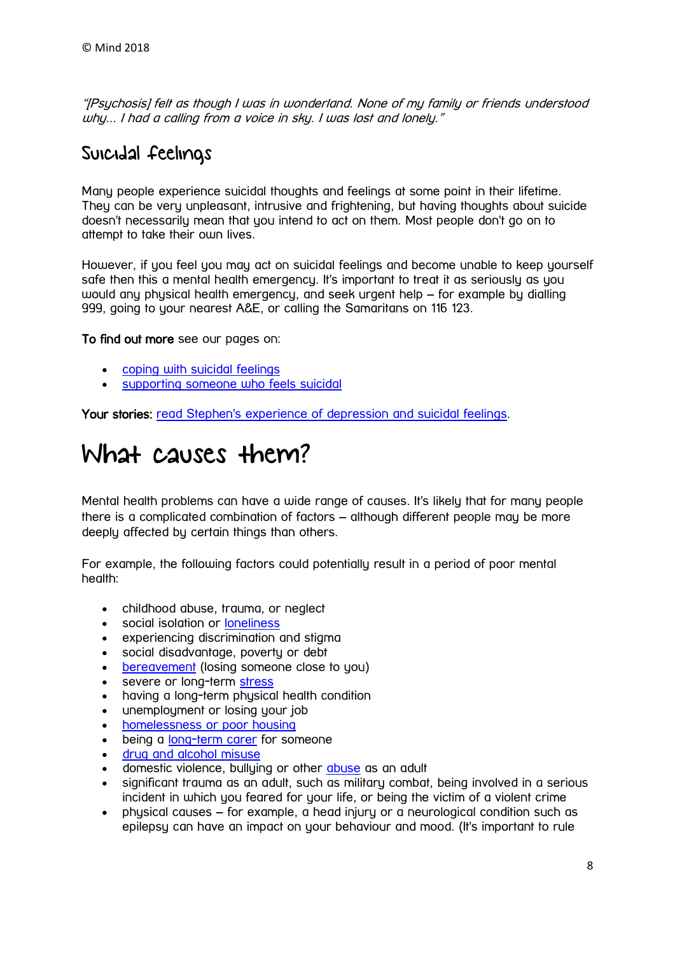"[Psychosis] felt as though I was in wonderland. None of my family or friends understood why... I had a calling from a voice in sky. I was lost and lonely."

## Suicidal feelings

Many people experience suicidal thoughts and feelings at some point in their lifetime. They can be very unpleasant, intrusive and frightening, but having thoughts about suicide doesn't necessarily mean that you intend to act on them. Most people don't go on to attempt to take their own lives.

However, if you feel you may act on suicidal feelings and become unable to keep yourself safe then this a mental health emergency. It's important to treat it as seriously as you would any physical health emergency, and seek urgent help – for example by dialling 999, going to your nearest A&E, or calling the Samaritans on 116 123.

To find out more see our pages on:

- [coping with suicidal feelings](https://www.mind.org.uk/information-support/types-of-mental-health-problems/suicidal-feelings/)
- [supporting someone who feels suicidal](https://www.mind.org.uk/information-support/helping-someone-else/supporting-someone-who-feels-suicidal/)

Your stories: [read Stephen's experience of depression and suicidal feelings.](https://www.mind.org.uk/information-support/your-stories/its-okay-to-ask-for-help/#.WOOlg2QrKAw)

# What causes them?

Mental health problems can have a wide range of causes. It's likely that for many people there is a complicated combination of factors – although different people may be more deeply affected by certain things than others.

For example, the following factors could potentially result in a period of poor mental health:

- childhood abuse, trauma, or neglect
- social isolation or [loneliness](https://www.mind.org.uk/information-support/tips-for-everyday-living/loneliness/)
- experiencing discrimination and stigma
- social disadvantage, poverty or debt
- [bereavement](https://www.mind.org.uk/information-support/guides-to-support-and-services/bereavement/) (losing someone close to you)
- severe or long-term [stress](https://www.mind.org.uk/information-support/types-of-mental-health-problems/stress/)
- having a long-term physical health condition
- unemployment or losing your job
- [homelessness or poor housing](https://www.mind.org.uk/information-support/guides-to-support-and-services/housing/)
- being a [long-term carer](https://www.mind.org.uk/information-support/helping-someone-else/carers-friends-family-coping-support/) for someone
- [drug and alcohol misuse](https://www.mind.org.uk/information-support/types-of-mental-health-problems/drugs-recreational-drugs-alcohol/)
- domestic violence, bullying or other [abuse](https://www.mind.org.uk/information-support/guides-to-support-and-services/abuse/) as an adult
- significant trauma as an adult, such as military combat, being involved in a serious incident in which you feared for your life, or being the victim of a violent crime
- physical causes for example, a head injury or a neurological condition such as epilepsy can have an impact on your behaviour and mood. (It's important to rule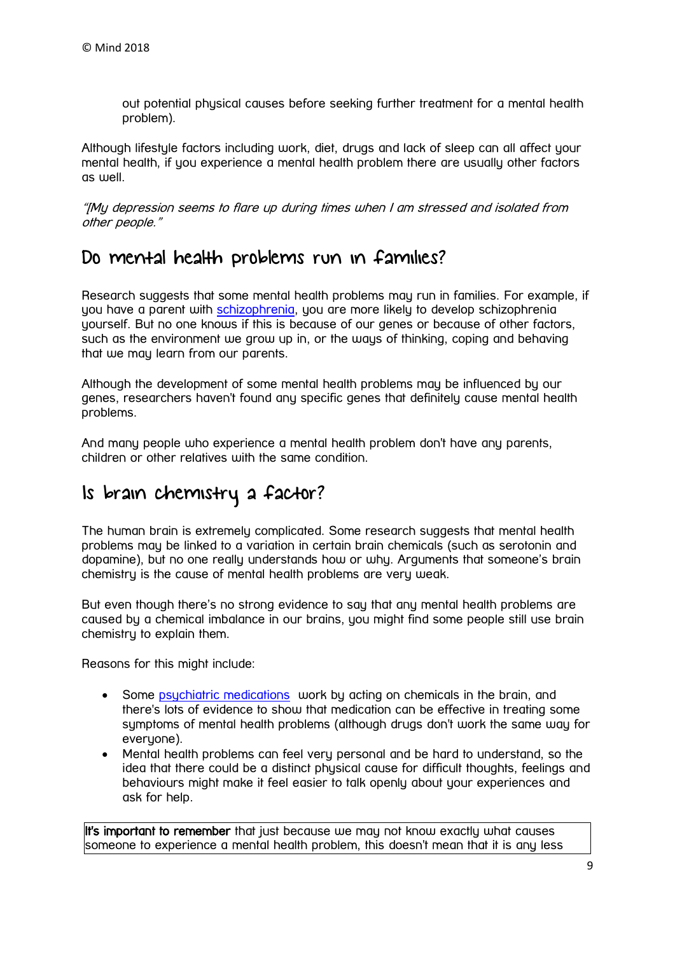out potential physical causes before seeking further treatment for a mental health problem).

Although lifestyle factors including work, diet, drugs and lack of sleep can all affect your mental health, if you experience a mental health problem there are usually other factors as well.

"[My depression seems to flare up during times when I am stressed and isolated from other people."

### Do mental health problems run in families?

Research suggests that some mental health problems may run in families. For example, if you have a parent with [schizophrenia,](https://www.mind.org.uk/information-support/types-of-mental-health-problems/schizophrenia/) you are more likely to develop schizophrenia yourself. But no one knows if this is because of our genes or because of other factors, such as the environment we grow up in, or the ways of thinking, coping and behaving that we may learn from our parents.

Although the development of some mental health problems may be influenced by our genes, researchers haven't found any specific genes that definitely cause mental health problems.

And many people who experience a mental health problem don't have any parents, children or other relatives with the same condition.

## Is brain chemistry a factor?

The human brain is extremely complicated. Some research suggests that mental health problems may be linked to a variation in certain brain chemicals (such as serotonin and dopamine), but no one really understands how or why. Arguments that someone's brain chemistry is the cause of mental health problems are very weak.

But even though there's no strong evidence to say that any mental health problems are caused by a chemical imbalance in our brains, you might find some people still use brain chemistry to explain them.

Reasons for this might include:

- Some psychiatric [medications](https://www.mind.org.uk/information-support/drugs-and-treatments/medication) work by acting on chemicals in the brain, and there's lots of evidence to show that medication can be effective in treating some symptoms of mental health problems (although drugs don't work the same way for everyone).
- Mental health problems can feel very personal and be hard to understand, so the idea that there could be a distinct physical cause for difficult thoughts, feelings and behaviours might make it feel easier to talk openly about your experiences and ask for help.

It's important to remember that just because we may not know exactly what causes someone to experience a mental health problem, this doesn't mean that it is any less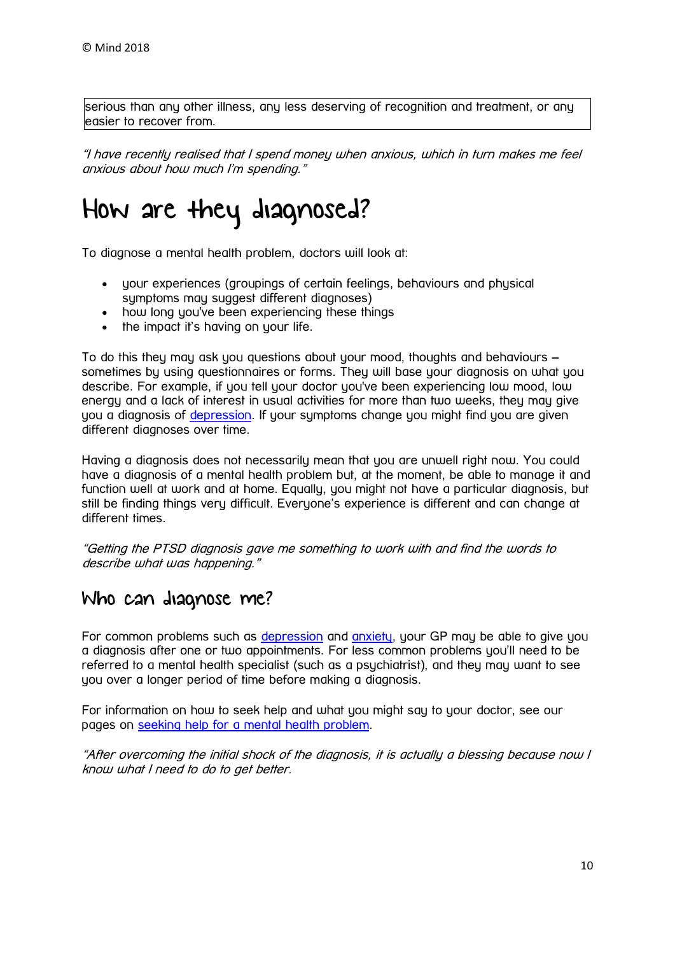serious than any other illness, any less deserving of recognition and treatment, or any easier to recover from.

"I have recently realised that I spend money when anxious, which in turn makes me feel anxious about how much I'm spending."

# How are they diagnosed?

To diagnose a mental health problem, doctors will look at:

- your experiences (groupings of certain feelings, behaviours and physical symptoms may suggest different diagnoses)
- how long you've been experiencing these things
- the impact it's having on your life.

To do this they may ask you questions about your mood, thoughts and behaviours – sometimes by using questionnaires or forms. They will base your diagnosis on what you describe. For example, if you tell your doctor you've been experiencing low mood, low energy and a lack of interest in usual activities for more than two weeks, they may give you a diagnosis of [depression.](https://www.mind.org.uk/information-support/types-of-mental-health-problems/depression/) If your symptoms change you might find you are given different diagnoses over time.

Having a diagnosis does not necessarily mean that you are unwell right now. You could have a diagnosis of a mental health problem but, at the moment, be able to manage it and function well at work and at home. Equally, you might not have a particular diagnosis, but still be finding things very difficult. Everyone's experience is different and can change at different times.

"Getting the PTSD diagnosis gave me something to work with and find the words to describe what was happening."

### Who can diagnose me?

For common problems such as [depression](https://www.mind.org.uk/information-support/types-of-mental-health-problems/depression/) and [anxiety,](https://www.mind.org.uk/information-support/types-of-mental-health-problems/anxiety-and-panic-attacks/) your GP may be able to give you a diagnosis after one or two appointments. For less common problems you'll need to be referred to a mental health specialist (such as a psychiatrist), and they may want to see you over a longer period of time before making a diagnosis.

For information on how to seek help and what you might say to your doctor, see our pages on [seeking help for a mental health problem.](https://www.mind.org.uk/information-support/guides-to-support-and-services/seeking-help-for-a-mental-health-problem/)

"After overcoming the initial shock of the diagnosis, it is actually a blessing because now I know what I need to do to get better.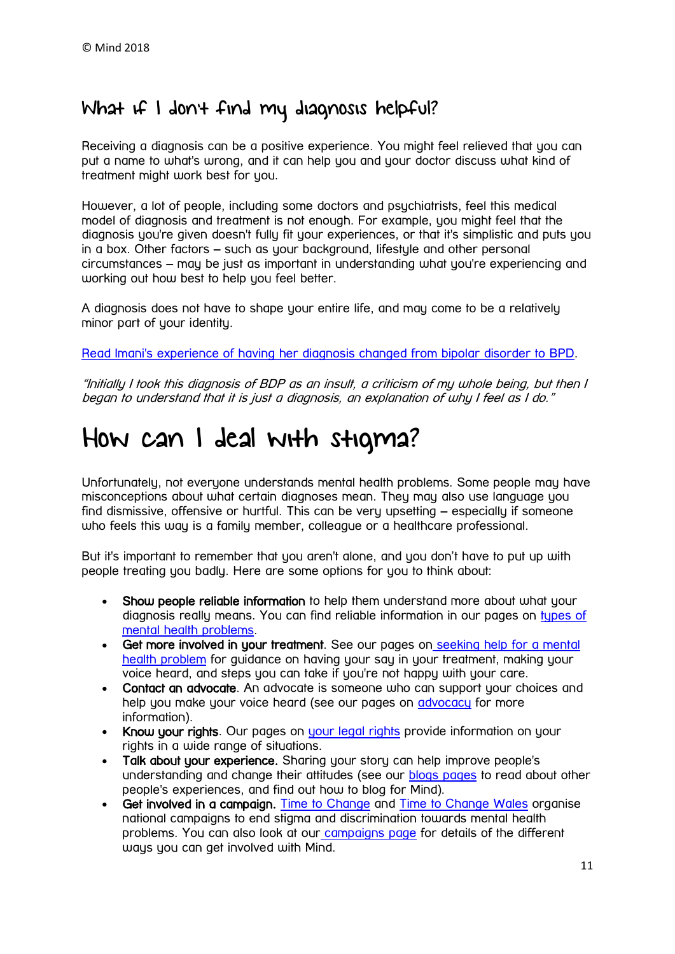## What if I don't find my diagnosis helpful?

Receiving a diagnosis can be a positive experience. You might feel relieved that you can put a name to what's wrong, and it can help you and your doctor discuss what kind of treatment might work best for you.

However, a lot of people, including some doctors and psychiatrists, feel this medical model of diagnosis and treatment is not enough. For example, you might feel that the diagnosis you're given doesn't fully fit your experiences, or that it's simplistic and puts you in a box. Other factors – such as your background, lifestyle and other personal circumstances – may be just as important in understanding what you're experiencing and working out how best to help you feel better.

A diagnosis does not have to shape your entire life, and may come to be a relatively minor part of your identity.

Read Imani's experience of [having her diagnosis changed from bipolar disorder to BPD.](https://www.mind.org.uk/information-support/your-stories/the-borderline/#.WOyZXrsrIlI)

"Initially I took this diagnosis of BDP as an insult, a criticism of my whole being, but then I began to understand that it is just a diagnosis, an explanation of why I feel as I do."

# <span id="page-10-0"></span>How can I deal with stigma?

Unfortunately, not everyone understands mental health problems. Some people may have misconceptions about what certain diagnoses mean. They may also use language you find dismissive, offensive or hurtful. This can be very upsetting – especially if someone who feels this way is a family member, colleague or a healthcare professional.

But it's important to remember that you aren't alone, and you don't have to put up with people treating you badly. Here are some options for you to think about:

- Show people reliable information to help them understand more about what your diagnosis really means. You can find reliable information in our pages on [types of](https://www.mind.org.uk/information-support/types-of-mental-health-problems/)  mental [health problems.](https://www.mind.org.uk/information-support/types-of-mental-health-problems/)
- Get more involved in your treatment. See our pages on [seeking help for a mental](https://www.mind.org.uk/information-support/guides-to-support-and-services/seeking-help-for-a-mental-health-problem/)  [health problem](https://www.mind.org.uk/information-support/guides-to-support-and-services/seeking-help-for-a-mental-health-problem/) for guidance on having your say in your treatment, making your voice heard, and steps you can take if you're not happy with your care.
- Contact an advocate. An advocate is someone who can support your choices and help you make your voice heard (see our pages on [advocacy](https://www.mind.org.uk/information-support/guides-to-support-and-services/advocacy/) for more information).
- Know your rights. Our pages on [your legal rights](https://www.mind.org.uk/information-support/legal-rights/) provide information on your rights in a wide range of situations.
- Talk about your experience. Sharing your story can help improve people's understanding and change their attitudes (see our [blogs pages](https://www.mind.org.uk/information-support/your-stories/) to read about other people's experiences, and find out how to blog for Mind).
- Get involved in a campaian. [Time to Change](http://www.time-to-change.org.uk/) and [Time to Change Wales](http://www.timetochangewales.org.uk/en/) organise national campaigns to end stigma and discrimination towards mental health problems. You can also look at our [campaigns page](https://www.mind.org.uk/news-campaigns/campaigns/) for details of the different ways you can get involved with Mind.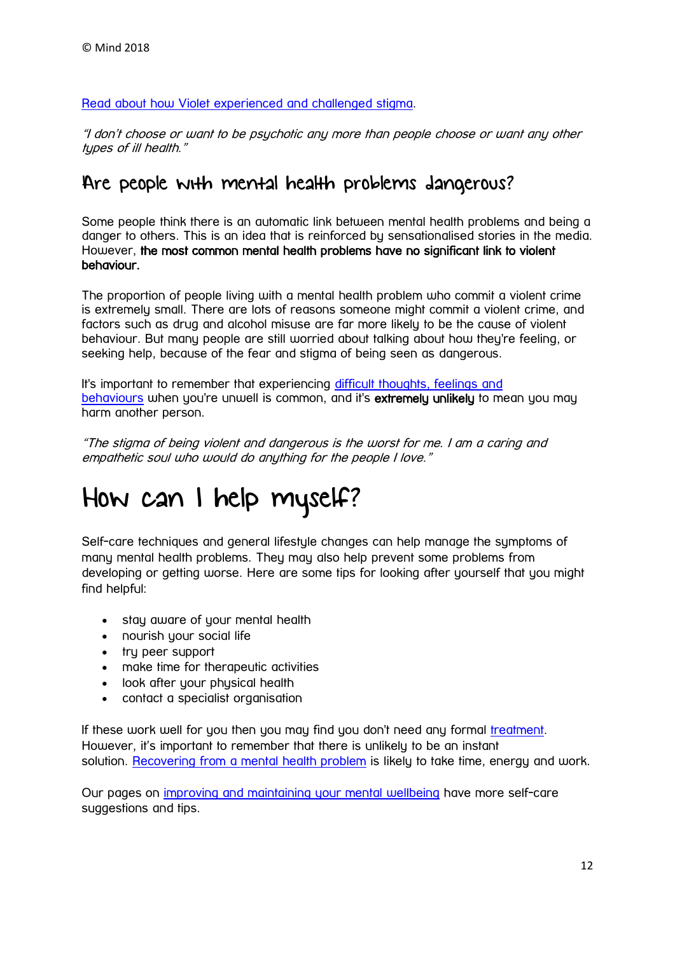Read about how Violet [experienced and challenged stigma.](https://www.mind.org.uk/information-support/your-stories/how-i-challenged-stigma/#.WOyLuLsrIlI)

"I don't choose or want to be psychotic any more than people choose or want any other types of ill health."

### Are people with mental health problems dangerous?

Some people think there is an automatic link between mental health problems and being a danger to others. This is an idea that is reinforced by sensationalised stories in the media. However, the most common mental health problems have no significant link to violent behaviour.

The proportion of people living with a mental health problem who commit a violent crime is extremely small. There are lots of reasons someone might commit a violent crime, and factors such as drug and alcohol misuse are far more likely to be the cause of violent behaviour. But many people are still worried about talking about how they're feeling, or seeking help, because of the fear and stigma of being seen as dangerous.

It's important to remember that experiencing [difficult thoughts, feelings and](https://www.mind.org.uk/information-support/types-of-mental-health-problems/mental-health-problems-introduction/difficult-feelings-behaviours/)  [behaviours](https://www.mind.org.uk/information-support/types-of-mental-health-problems/mental-health-problems-introduction/difficult-feelings-behaviours/) when you're unwell is common, and it's extremely unlikely to mean you may harm another person.

"The stigma of being violent and dangerous is the worst for me. I am a caring and empathetic soul who would do anything for the people I love."

# How can I help myself?

Self-care techniques and general lifestyle changes can help manage the symptoms of many mental health problems. They may also help prevent some problems from developing or getting worse. Here are some tips for looking after yourself that you might find helpful:

- stay aware of your mental health
- nourish your social life
- tru peer support
- make time for therapeutic activities
- look after your physical health
- contact a specialist organisation

If these work well for you then you may find you don't need any formal [treatment.](https://www.mind.org.uk/information-support/types-of-mental-health-problems/mental-health-problems-introduction/treatment-options/) However, it's important to remember that there is unlikely to be an instant solution. [Recovering from a mental health problem](https://www.mind.org.uk/information-support/types-of-mental-health-problems/mental-health-problems-introduction/recovery/) is likely to take time, energy and work.

Our pages on [improving and maintaining your mental wellbeing](https://www.mind.org.uk/information-support/tips-for-everyday-living/wellbeing/) have more self-care suggestions and tips.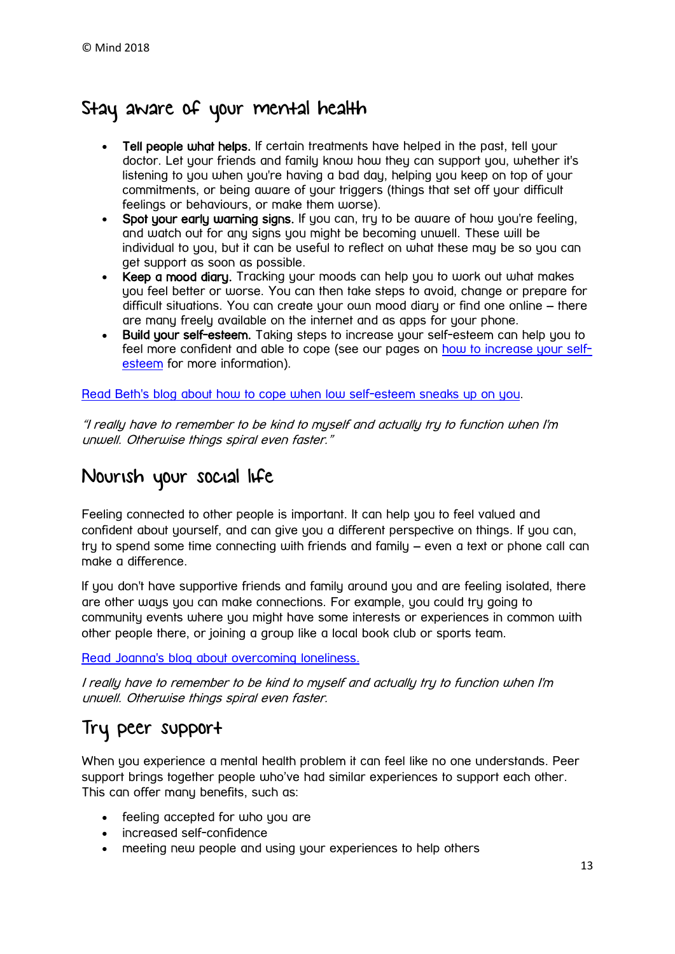## Stay aware of your mental health

- Tell people what helps. If certain treatments have helped in the past, tell your doctor. Let your friends and family know how they can support you, whether it's listening to you when you're having a bad day, helping you keep on top of your commitments, or being aware of your triggers (things that set off your difficult feelings or behaviours, or make them worse).
- Spot your early warning signs. If you can, try to be aware of how you're feeling, and watch out for any signs you might be becoming unwell. These will be individual to you, but it can be useful to reflect on what these may be so you can get support as soon as possible.
- Keep a mood diary. Tracking your moods can help you to work out what makes you feel better or worse. You can then take steps to avoid, change or prepare for difficult situations. You can create your own mood diary or find one online – there are many freely available on the internet and as apps for your phone.
- Build your self-esteem. Taking steps to increase your self-esteem can help you to feel more confident and able to cope (see our pages on [how to increase your self](https://www.mind.org.uk/information-support/types-of-mental-health-problems/self-esteem/)[esteem](https://www.mind.org.uk/information-support/types-of-mental-health-problems/self-esteem/) for more information).

Read Beth's blog about [how to cope when low self-esteem sneaks up on you.](https://www.mind.org.uk/information-support/your-stories/when-low-self-esteem-sneaks-up-on-you/#.WOyfKbsrIlI)

"I really have to remember to be kind to myself and actually try to function when I'm unwell. Otherwise things spiral even faster."

## Nourish your social life

Feeling connected to other people is important. It can help you to feel valued and confident about yourself, and can give you a different perspective on things. If you can, try to spend some time connecting with friends and family – even a text or phone call can make a difference.

If you don't have supportive friends and family around you and are feeling isolated, there are other ways you can make connections. For example, you could try going to community events where you might have some interests or experiences in common with other people there, or joining a group like a local book club or sports team.

[Read Joanna's blog about](https://www.mind.org.uk/information-support/your-stories/how-i-overcame-loneliness/#.WfMhTVuPKM8) overcoming loneliness.

I really have to remember to be kind to myself and actually try to function when I'm unwell. Otherwise things spiral even faster.

# Try peer support

When you experience a mental health problem it can feel like no one understands. Peer support brings together people who've had similar experiences to support each other. This can offer many benefits, such as:

- feeling accepted for who you are
- increased self-confidence
- meeting new people and using your experiences to help others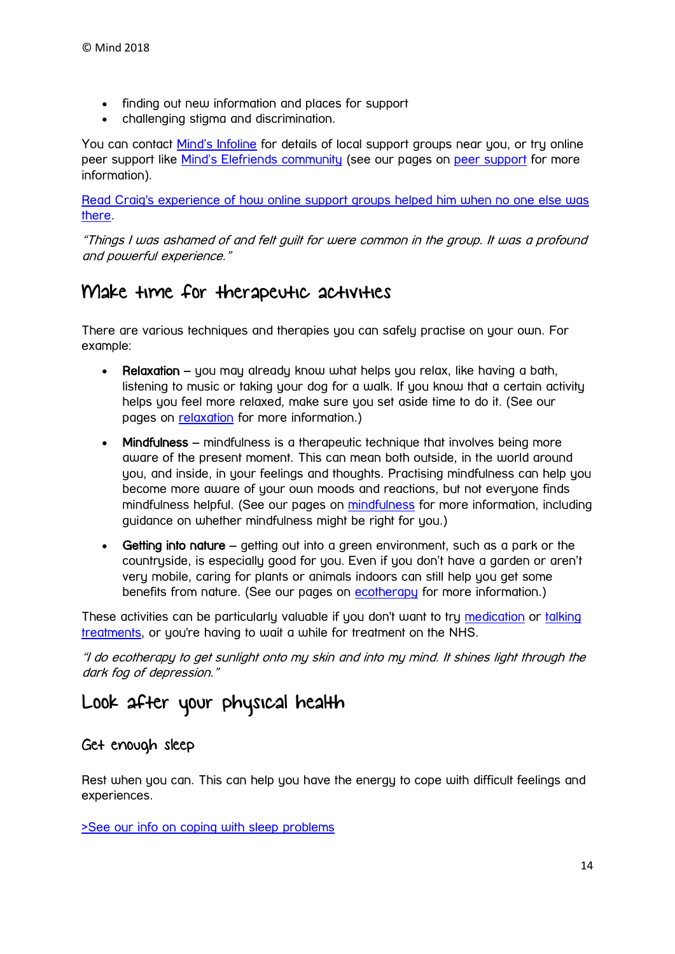- finding out new information and places for support
- challenging stigma and discrimination.

You can contact [Mind's Infoline](https://www.mind.org.uk/information-support/helplines/) for details of local support groups near you, or try online peer support like [Mind's Elefriends community](https://www.mind.org.uk/elefriends/) (see our pages on [peer support](https://www.mind.org.uk/information-support/drugs-and-treatments/peer-support/) for more information).

Read Craig's experience of [how online support groups helped him when no one else was](https://www.mind.org.uk/information-support/your-stories/online-support-groups-helped-me-when-no-one-else-was-there-for-me/#.WOyegrsrIlI)  [there.](https://www.mind.org.uk/information-support/your-stories/online-support-groups-helped-me-when-no-one-else-was-there-for-me/#.WOyegrsrIlI)

"Things I was ashamed of and felt guilt for were common in the group. It was a profound and powerful experience."

### Make time for therapeutic activities

There are various techniques and therapies you can safely practise on your own. For example:

- Relaxation you may already know what helps you relax, like having a bath, listening to music or taking your dog for a walk. If you know that a certain activity helps you feel more relaxed, make sure you set aside time to do it. (See our pages on [relaxation](https://www.mind.org.uk/information-support/tips-for-everyday-living/relaxation/) for more information.)
- Mindfulness mindfulness is a therapeutic technique that involves being more aware of the present moment. This can mean both outside, in the world around you, and inside, in your feelings and thoughts. Practising mindfulness can help you become more aware of your own moods and reactions, but not everyone finds mindfulness helpful. (See our pages on [mindfulness](https://www.mind.org.uk/information-support/drugs-and-treatments/mindfulness/) for more information, including guidance on whether mindfulness might be right for you.)
- Getting into nature getting out into a green environment, such as a park or the countryside, is especially good for you. Even if you don't have a garden or aren't very mobile, caring for plants or animals indoors can still help you get some benefits from nature. (See our pages on [ecotherapy](https://www.mind.org.uk/information-support/tips-for-everyday-living/nature-and-mental-health/) for more information.)

These activities can be particularly valuable if you don't want to try [medication](https://www.mind.org.uk/information-support/drugs-and-treatments/medication/) or talking [treatments,](https://www.mind.org.uk/information-support/drugs-and-treatments/talking-therapy-and-counselling/) or you're having to wait a while for treatment on the NHS.

"I do ecotherapy to get sunlight onto my skin and into my mind. It shines light through the dark fog of depression."

# Look after your physical health

#### Get enough sleep

Rest when you can. This can help you have the energy to cope with difficult feelings and experiences.

[>See our info on coping with sleep problems](https://www.mind.org.uk/information-support/types-of-mental-health-problems/sleep-problems/)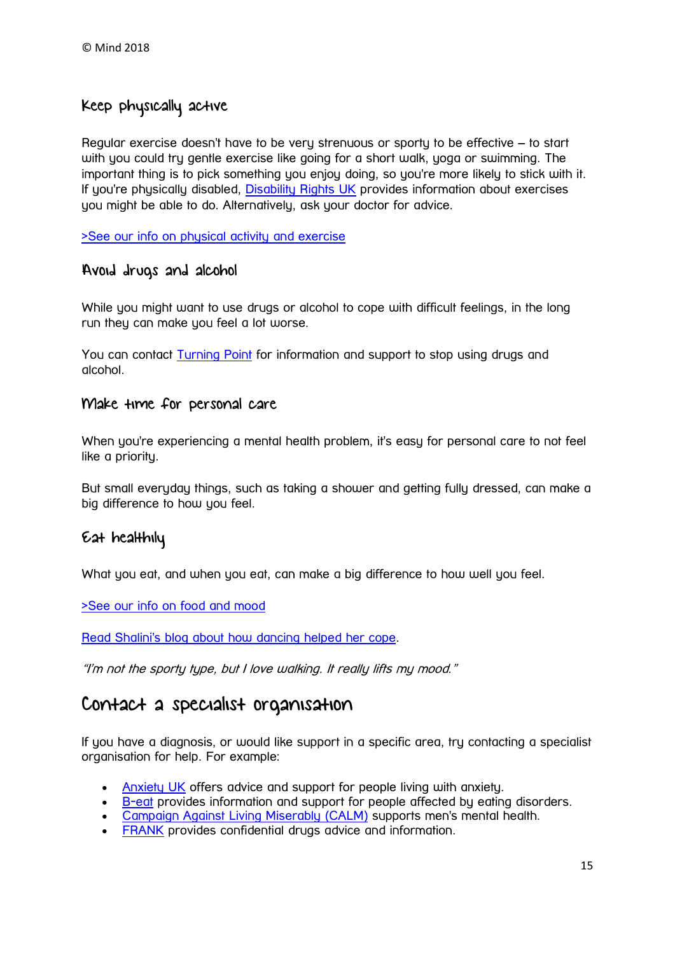### Keep physically active

Regular exercise doesn't have to be very strenuous or sporty to be effective – to start with you could try gentle exercise like going for a short walk, yoga or swimming. The important thing is to pick something you enjoy doing, so you're more likely to stick with it. If you're physically disabled, [Disability Rights UK](http://www.disabilityrightsuk.org/) provides information about exercises you might be able to do. Alternatively, ask your doctor for advice.

[>See our info on physical activity and exercise](https://www.mind.org.uk/information-support/tips-for-everyday-living/physical-activity-and-your-mental-health/)

#### Avoid drugs and alcohol

While you might want to use drugs or alcohol to cope with difficult feelings, in the long run they can make you feel a lot worse.

You can contact [Turning Point](http://www.turning-point.co.uk/) for information and support to stop using drugs and alcohol.

#### Make time for personal care

When you're experiencing a mental health problem, it's easy for personal care to not feel like a priority.

But small everyday things, such as taking a shower and getting fully dressed, can make a big difference to how you feel.

#### Eat healthily

What you eat, and when you eat, can make a big difference to how well you feel.

[>See our info on food and mood](https://www.mind.org.uk/information-support/tips-for-everyday-living/food-and-mood/)

Read Shalini's blog about [how dancing helped her cope.](https://www.mind.org.uk/information-support/your-stories/how-dancing-helped-me-cope/#.WOyeILsrIlI)

"I'm not the sporty type, but I love walking. It really lifts my mood."

## Contact a specialist organisation

If you have a diagnosis, or would like support in a specific area, try contacting a specialist organisation for help. For example:

- [Anxiety UK](https://www.anxietyuk.org.uk/) offers advice and support for people living with anxiety.
- [B-eat](https://www.b-eat.co.uk/?gclid=CNHM9IHDzNQCFa297QodEp8BqQ) provides information and support for people affected by eating disorders.
- [Campaign Against Living Miserably \(CALM\)](https://www.thecalmzone.net/) supports men's mental health.
- **[FRANK](http://www.talktofrank.com/)** provides confidential drugs advice and information.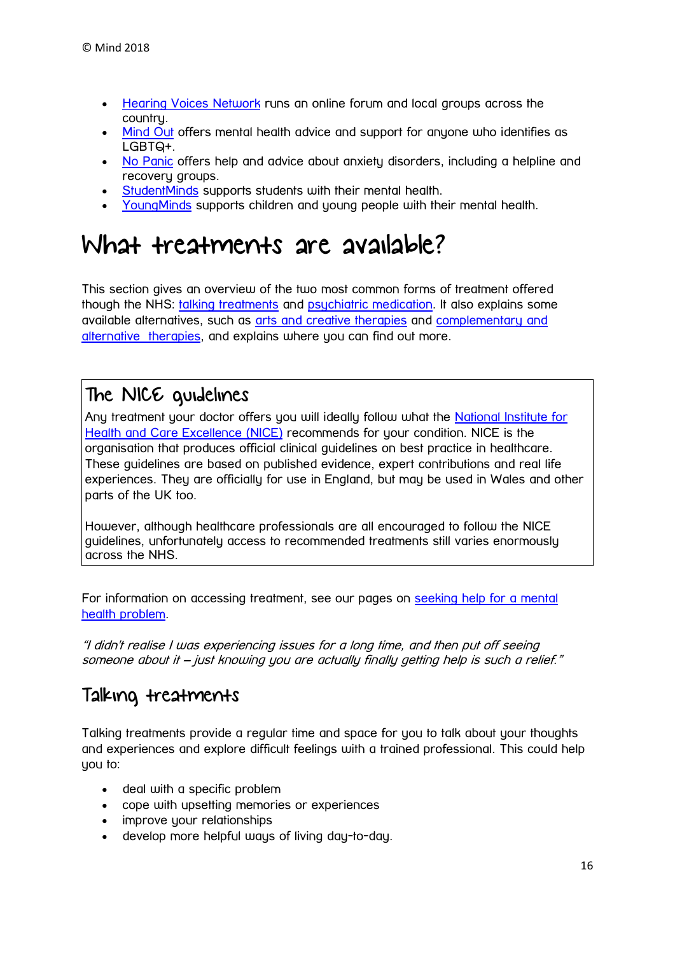- **[Hearing Voices Network](https://www.hearing-voices.org/) runs an online forum and local groups across the** country.
- [Mind Out](http://www.mindout.org.uk/) offers mental health advice and support for anyone who identifies as LGBTQ+.
- [No Panic](http://www.nopanic.org.uk/) offers help and advice about anxiety disorders, including a helpline and recovery groups.
- [StudentMinds](http://www.studentminds.org.uk/) supports students with their mental health.
- [YoungMinds](https://www.youngminds.org.uk/) supports children and young people with their mental health.

# <span id="page-15-0"></span>What treatments are available?

This section gives an overview of the two most common forms of treatment offered though the NHS: [talking treatments](https://www.mind.org.uk/information-support/types-of-mental-health-problems/mental-health-problems-introduction/treatment-options/#a) and [psychiatric](https://www.mind.org.uk/information-support/types-of-mental-health-problems/mental-health-problems-introduction/treatment-options/#b) [medication.](https://www.mind.org.uk/information-support/types-of-mental-health-problems/mental-health-problems-introduction/treatment-options/#b) It also explains some available alternatives, such as arts and [creative therapies](https://www.mind.org.uk/information-support/types-of-mental-health-problems/mental-health-problems-introduction/treatment-options/#c) and [complementary and](https://www.mind.org.uk/information-support/types-of-mental-health-problems/mental-health-problems-introduction/treatment-options/#d)  [alternative](https://www.mind.org.uk/information-support/types-of-mental-health-problems/mental-health-problems-introduction/treatment-options/#d) therapies, and explains where you can find out more.

## The NICE guidelines

Any treatment your doctor offers you will ideally follow what the National Institute for [Health and Care Excellence \(NICE\)](https://www.nice.org.uk/) recommends for your condition. NICE is the organisation that produces official clinical guidelines on best practice in healthcare. These guidelines are based on published evidence, expert contributions and real life experiences. They are officially for use in England, but may be used in Wales and other parts of the UK too.

However, although healthcare professionals are all encouraged to follow the NICE guidelines, unfortunately access to recommended treatments still varies enormously across the NHS.

For information on accessing treatment, see our pages on [seeking help for a mental](https://www.mind.org.uk/information-support/guides-to-support-and-services/seeking-help-for-a-mental-health-problem/)  [health problem.](https://www.mind.org.uk/information-support/guides-to-support-and-services/seeking-help-for-a-mental-health-problem/)

"I didn't realise I was experiencing issues for a long time, and then put off seeing someone about it – just knowing you are actually finally getting help is such a relief."

## Talking treatments

Talking treatments provide a regular time and space for you to talk about your thoughts and experiences and explore difficult feelings with a trained professional. This could help you to:

- deal with a specific problem
- cope with upsetting memories or experiences
- improve your relationships
- develop more helpful ways of living day-to-day.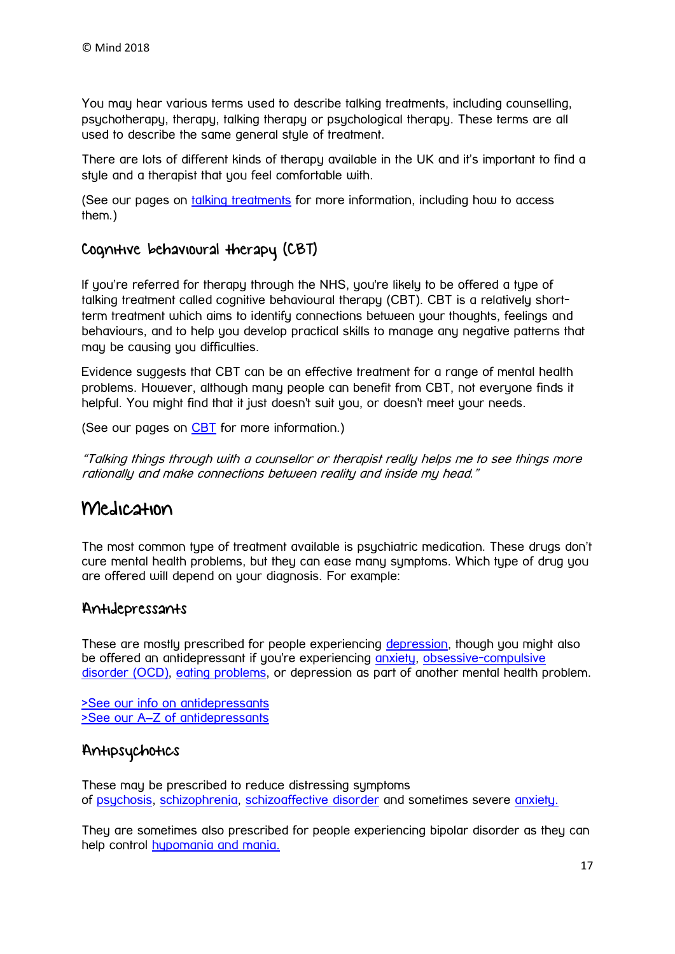You may hear various terms used to describe talking treatments, including counselling, psychotherapy, therapy, talking therapy or psychological therapy. These terms are all used to describe the same general style of treatment.

There are lots of different kinds of therapy available in the UK and it's important to find a style and a therapist that you feel comfortable with.

(See our pages on [talking treatments](https://www.mind.org.uk/information-support/drugs-and-treatments/talking-therapy-and-counselling/) for more information, including how to access them.)

### Cognitive behavioural therapy (CBT)

If you're referred for therapy through the NHS, you're likely to be offered a type of talking treatment called cognitive behavioural therapy (CBT). CBT is a relatively shortterm treatment which aims to identify connections between your thoughts, feelings and behaviours, and to help you develop practical skills to manage any negative patterns that may be causing you difficulties.

Evidence suggests that CBT can be an effective treatment for a range of mental health problems. However, although many people can benefit from CBT, not everyone finds it helpful. You might find that it just doesn't suit you, or doesn't meet your needs.

(See our pages on [CBT](https://www.mind.org.uk/information-support/drugs-and-treatments/cognitive-behavioural-therapy-cbt/) for more information.)

"Talking things through with a counsellor or therapist really helps me to see things more rationally and make connections between reality and inside my head."

### Medication

The most common type of treatment available is psychiatric medication. These drugs don't cure mental health problems, but they can ease many symptoms. Which type of drug you are offered will depend on your diagnosis. For example:

#### Antidepressants

These are mostly prescribed for people experiencing [depression,](https://www.mind.org.uk/information-support/types-of-mental-health-problems/depression/) though you might also be offered an antidepressant if you're experiencing [anxiety,](https://www.mind.org.uk/information-support/types-of-mental-health-problems/anxiety-and-panic-attacks/) obsessive-compulsive [disorder \(OCD\),](https://www.mind.org.uk/information-support/types-of-mental-health-problems/obsessive-compulsive-disorder-ocd/) [eating problems,](https://www.mind.org.uk/information-support/types-of-mental-health-problems/eating-problems/) or depression as part of another mental health problem.

[>See our info on antidepressants](https://www.mind.org.uk/information-support/drugs-and-treatments/antidepressants/) >See our A–[Z of antidepressants](https://www.mind.org.uk/information-support/drugs-and-treatments/antidepressants-a-z/)

#### Antipsychotics

These may be prescribed to reduce distressing symptoms of [psychosis,](https://www.mind.org.uk/information-support/types-of-mental-health-problems/psychosis/) [schizophrenia,](https://www.mind.org.uk/information-support/types-of-mental-health-problems/schizophrenia/) [schizoaffective disorder](https://www.mind.org.uk/information-support/types-of-mental-health-problems/schizoaffective-disorder/) and sometimes severe [anxiety.](https://www.mind.org.uk/information-support/drugs-and-treatments/medication/)

They are sometimes also prescribed for people experiencing bipolar disorder as they can help control [hypomania and](https://www.mind.org.uk/information-support/types-of-mental-health-problems/hypomania-and-mania/) mania.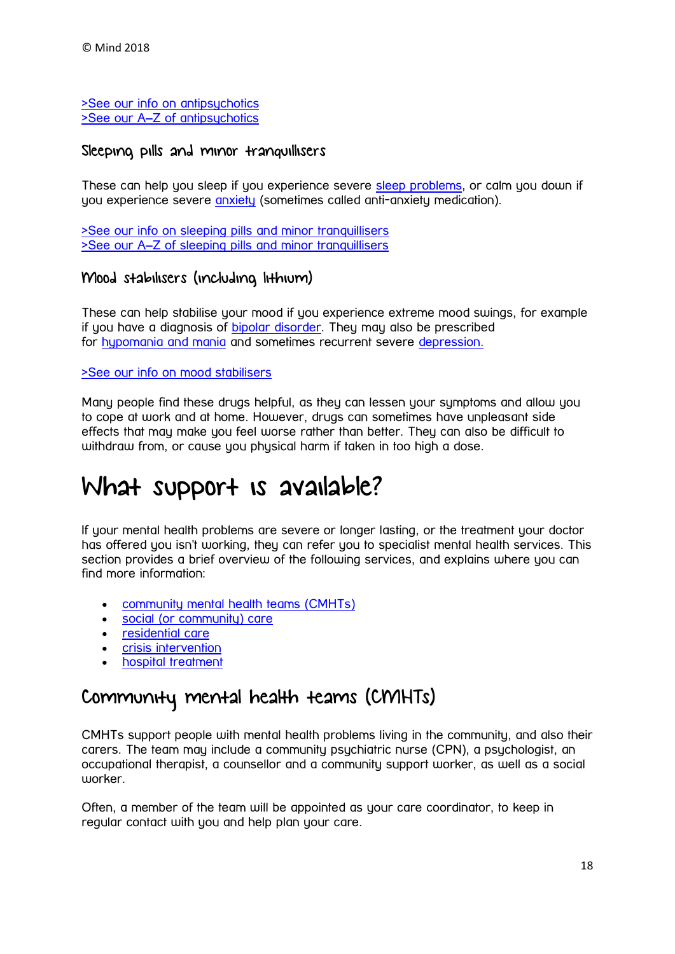[>See our info on antipsychotics](https://www.mind.org.uk/information-support/drugs-and-treatments/antipsychotics/) >See our A–[Z of antipsychotics](https://www.mind.org.uk/information-support/drugs-and-treatments/antipsychotics-a-z/)

#### Sleeping pills and minor tranquillisers

These can help you sleep if you experience severe [sleep problems,](https://www.mind.org.uk/information-support/types-of-mental-health-problems/sleep-problems/) or calm you down if you experience severe [anxiety](https://www.mind.org.uk/information-support/types-of-mental-health-problems/anxiety-and-panic-attacks/) (sometimes called anti-anxiety medication).

[>See our info on sleeping pills and minor tranquillisers](https://www.mind.org.uk/information-support/drugs-and-treatments/sleeping-pills-and-minor-tranquillisers/) >See our A–[Z of sleeping pills and minor tranquillisers](https://www.mind.org.uk/information-support/drugs-and-treatments/sleeping-pills-minor-tranquillisers-a-z/)

#### Mood stabilisers (including lithium)

These can help stabilise your mood if you experience extreme mood swings, for example if you have a diagnosis of [bipolar disorder.](https://www.mind.org.uk/information-support/types-of-mental-health-problems/bipolar-disorder/) They may also be prescribed for [hypomania](https://www.mind.org.uk/information-support/types-of-mental-health-problems/hypomania-and-mania/#.V6swYJgrJhE) and mania and sometimes recurrent severe [depression.](https://www.mind.org.uk/information-support/types-of-mental-health-problems/depression/)

#### [>See our info on mood stabilisers](https://www.mind.org.uk/information-support/drugs-and-treatments/lithium-and-other-mood-stabilisers/)

Many people find these drugs helpful, as they can lessen your symptoms and allow you to cope at work and at home. However, drugs can sometimes have unpleasant side effects that may make you feel worse rather than better. They can also be difficult to withdraw from, or cause you physical harm if taken in too high a dose.

# <span id="page-17-0"></span>What support is available?

If your mental health problems are severe or longer lasting, or the treatment your doctor has offered you isn't working, they can refer you to specialist mental health services. This section provides a brief overview of the following services, and explains where you can find more information:

- [community mental health teams \(CMHTs\)](https://www.mind.org.uk/information-support/types-of-mental-health-problems/mental-health-problems-introduction/support-services/#a)
- [social \(or community\) care](https://www.mind.org.uk/information-support/types-of-mental-health-problems/mental-health-problems-introduction/support-services/#b)
- [residential care](https://www.mind.org.uk/information-support/types-of-mental-health-problems/mental-health-problems-introduction/support-services/#c)
- [crisis intervention](https://www.mind.org.uk/information-support/types-of-mental-health-problems/mental-health-problems-introduction/support-services/#d)
- [hospital treatment](https://www.mind.org.uk/information-support/types-of-mental-health-problems/mental-health-problems-introduction/support-services/#e)

## Community mental health teams (CMHTs)

CMHTs support people with mental health problems living in the community, and also their carers. The team may include a community psychiatric nurse (CPN), a psychologist, an occupational therapist, a counsellor and a community support worker, as well as a social worker.

Often, a member of the team will be appointed as your care coordinator, to keep in regular contact with you and help plan your care.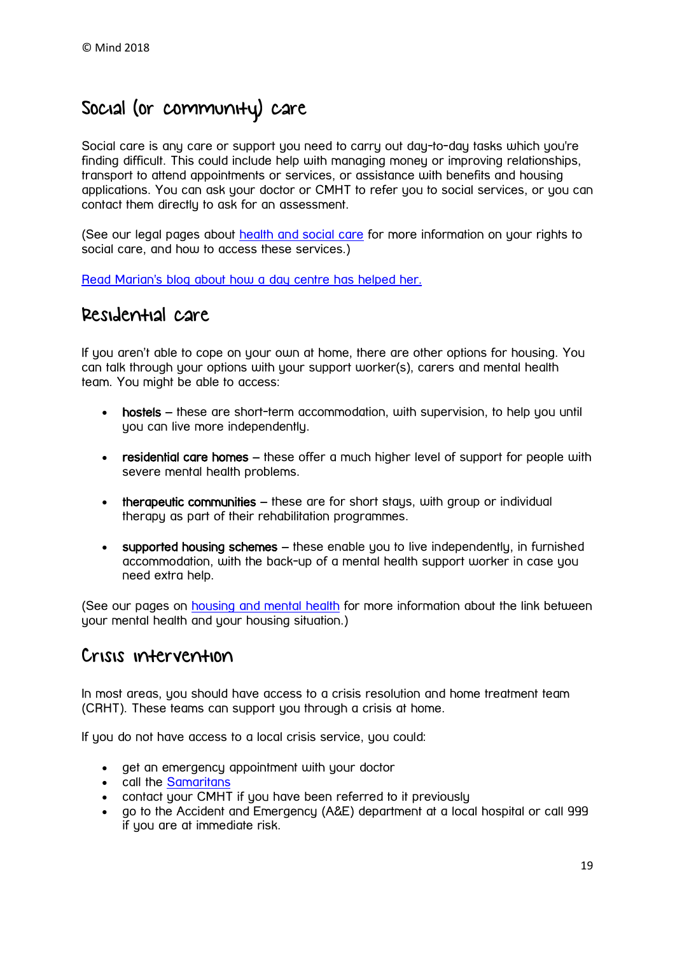# Social (or community) care

Social care is any care or support you need to carry out day-to-day tasks which you're finding difficult. This could include help with managing money or improving relationships, transport to attend appointments or services, or assistance with benefits and housing applications. You can ask your doctor or CMHT to refer you to social services, or you can contact them directly to ask for an assessment.

(See our legal pages about [health and social care](https://www.mind.org.uk/information-support/legal-rights/health-and-social-care-rights/) for more information on your rights to social care, and how to access these services.)

Read Marian's blog about [how a day centre has helped her.](https://www.mind.org.uk/information-support/your-stories/in-praise-of-day-centres/#.WOyh1rsrIlI)

### Residential care

If you aren't able to cope on your own at home, there are other options for housing. You can talk through your options with your support worker(s), carers and mental health team. You might be able to access:

- hostels these are short-term accommodation, with supervision, to help you until you can live more independently.
- residential care homes these offer a much higher level of support for people with severe mental health problems.
- therapeutic communities these are for short stays, with group or individual therapy as part of their rehabilitation programmes.
- supported housing schemes these enable you to live independently, in furnished accommodation, with the back-up of a mental health support worker in case you need extra help.

(See our pages on [housing and mental health](https://www.mind.org.uk/information-support/guides-to-support-and-services/housing/) for more information about the link between your mental health and your housing situation.)

### Crisis intervention

In most areas, you should have access to a crisis resolution and home treatment team (CRHT). These teams can support you through a crisis at home.

If you do not have access to a local crisis service, you could:

- get an emergency appointment with your doctor
- call the [Samaritans](http://www.samaritans.org/)
- contact your CMHT if you have been referred to it previously
- go to the Accident and Emergency (A&E) department at a local hospital or call 999 if you are at immediate risk.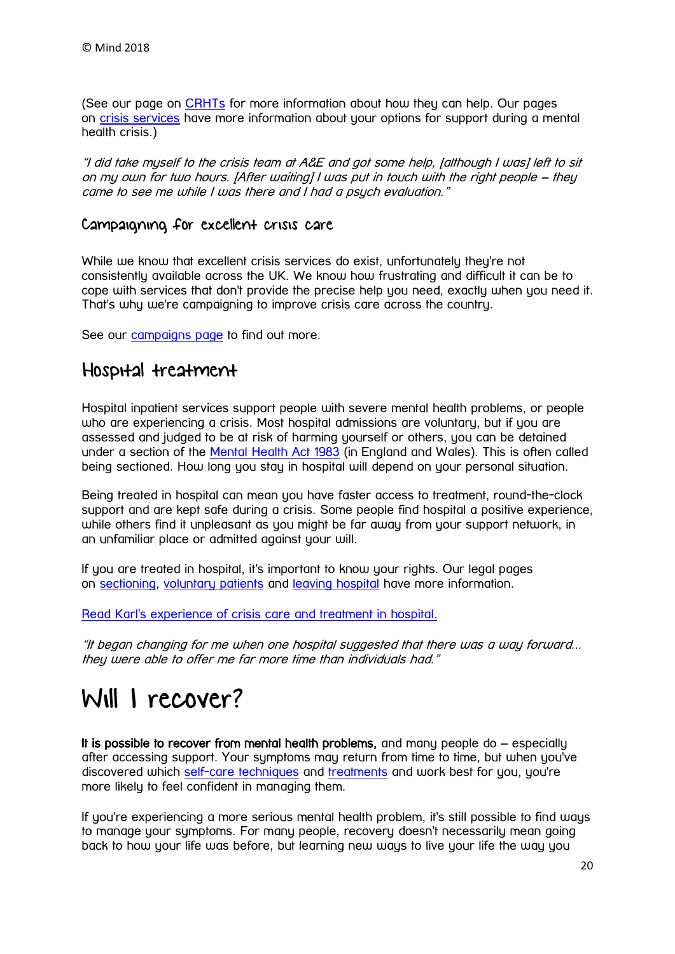(See our page on [CRHTs](https://www.mind.org.uk/information-support/guides-to-support-and-services/crisis-services/crisis-teams-crhts/) for more information about how they can help. Our pages on [crisis services](https://www.mind.org.uk/information-support/guides-to-support-and-services/crisis-services/) have more information about your options for support during a mental health crisis.)

"I did take myself to the crisis team at A&E and got some help, [although I was] left to sit on my own for two hours. [After waiting] I was put in touch with the right people – they came to see me while I was there and I had a psych evaluation."

#### Campaigning for excellent crisis care

While we know that excellent crisis services do exist, unfortunately they're not consistently available across the UK. We know how frustrating and difficult it can be to cope with services that don't provide the precise help you need, exactly when you need it. That's why we're campaigning to improve crisis care across the country.

See our **[campaigns page](https://www.mind.org.uk/news-campaigns/campaigns/)** to find out more.

### Hospital treatment

Hospital inpatient services support people with severe mental health problems, or people who are experiencing a crisis. Most hospital admissions are voluntary, but if you are assessed and judged to be at risk of harming yourself or others, you can be detained under a section of the [Mental Health Act 1983](https://www.mind.org.uk/information-support/legal-rights/mental-health-act-1983/) (in England and Wales). This is often called being sectioned. How long you stay in hospital will depend on your personal situation.

Being treated in hospital can mean you have faster access to treatment, round-the-clock support and are kept safe during a crisis. Some people find hospital a positive experience, while others find it unpleasant as you might be far away from your support network, in an unfamiliar place or admitted against your will.

If you are treated in hospital, it's important to know your rights. Our legal pages on [sectioning,](https://www.mind.org.uk/information-support/legal-rights/sectioning/) [voluntary patients](https://www.mind.org.uk/information-support/legal-rights/voluntary-patients/) and [leaving hospital](https://www.mind.org.uk/information-support/legal-rights/leaving-hospital/) have more information.

Read Karl's experience of [crisis care and treatment in hospital.](https://www.mind.org.uk/information-support/your-stories/my-experience-of-crisis-care-depression-and-speaking-out/#.WOyhT7srIlI)

"It began changing for me when one hospital suggested that there was a way forward... they were able to offer me far more time than individuals had."

# <span id="page-19-0"></span>Will I recover?

It is possible to recover from mental health problems, and many people  $d\rho - e$  specially after accessing support. Your symptoms may return from time to time, but when you've discovered which [self-care techniques](https://www.mind.org.uk/information-support/types-of-mental-health-problems/mental-health-problems-introduction/self-care/) and [treatments](https://www.mind.org.uk/information-support/types-of-mental-health-problems/mental-health-problems-introduction/treatment-options/) and work best for you, you're more likely to feel confident in managing them.

If you're experiencing a more serious mental health problem, it's still possible to find ways to manage your symptoms. For many people, recovery doesn't necessarily mean going back to how your life was before, but learning new ways to live your life the way you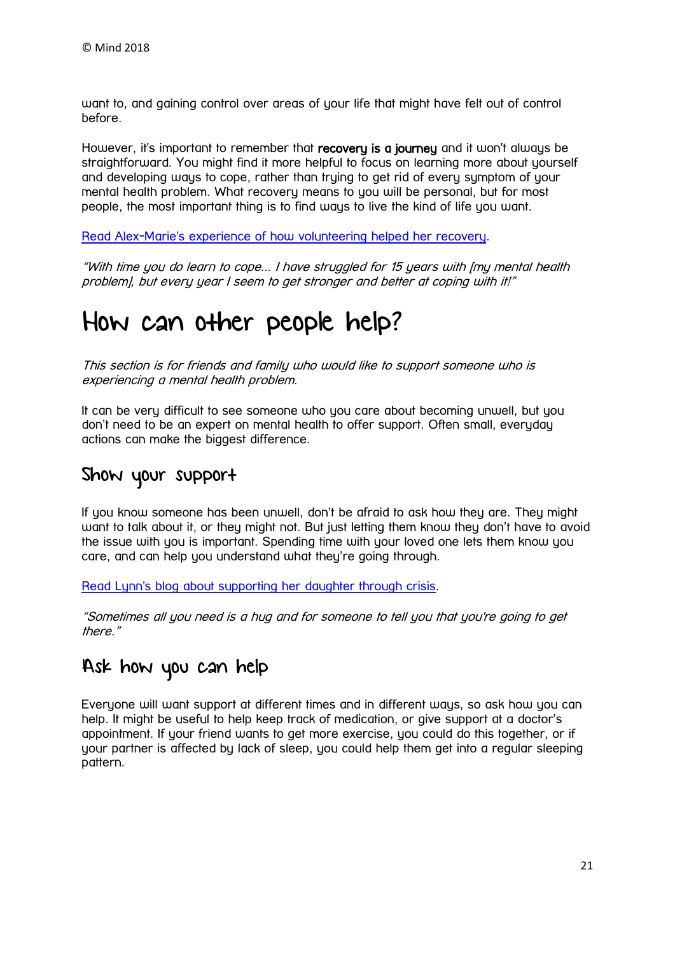want to, and gaining control over areas of your life that might have felt out of control before.

However, it's important to remember that recovery is a journey and it won't always be straightforward. You might find it more helpful to focus on learning more about yourself and developing ways to cope, rather than trying to get rid of every symptom of your mental health problem. What recovery means to you will be personal, but for most people, the most important thing is to find ways to live the kind of life you want.

[Read Alex-Marie's experience of how volunteering helped her recovery.](https://www.mind.org.uk/information-support/your-stories/how-volunteering-helped-my-recovery/#.WOyaZ7srIlI)

"With time you do learn to cope... I have struggled for 15 years with [my mental health problem], but every year I seem to get stronger and better at coping with it!"

# <span id="page-20-0"></span>How can other people help?

This section is for friends and family who would like to support someone who is experiencing a mental health problem.

It can be very difficult to see someone who you care about becoming unwell, but you don't need to be an expert on mental health to offer support. Often small, everyday actions can make the biggest difference.

## Show your support

If you know someone has been unwell, don't be afraid to ask how they are. They might want to talk about it, or they might not. But just letting them know they don't have to avoid the issue with you is important. Spending time with your loved one lets them know you care, and can help you understand what they're going through.

Read Lynn's blog about [supporting her daughter through crisis.](https://www.mind.org.uk/information-support/your-stories/supporting-my-daughter-through-crisis/#.WOybarsrIlI)

"Sometimes all you need is a hug and for someone to tell you that you're going to get there."

## Ask how you can help

Everyone will want support at different times and in different ways, so ask how you can help. It might be useful to help keep track of medication, or give support at a doctor's appointment. If your friend wants to get more exercise, you could do this together, or if your partner is affected by lack of sleep, you could help them get into a regular sleeping pattern.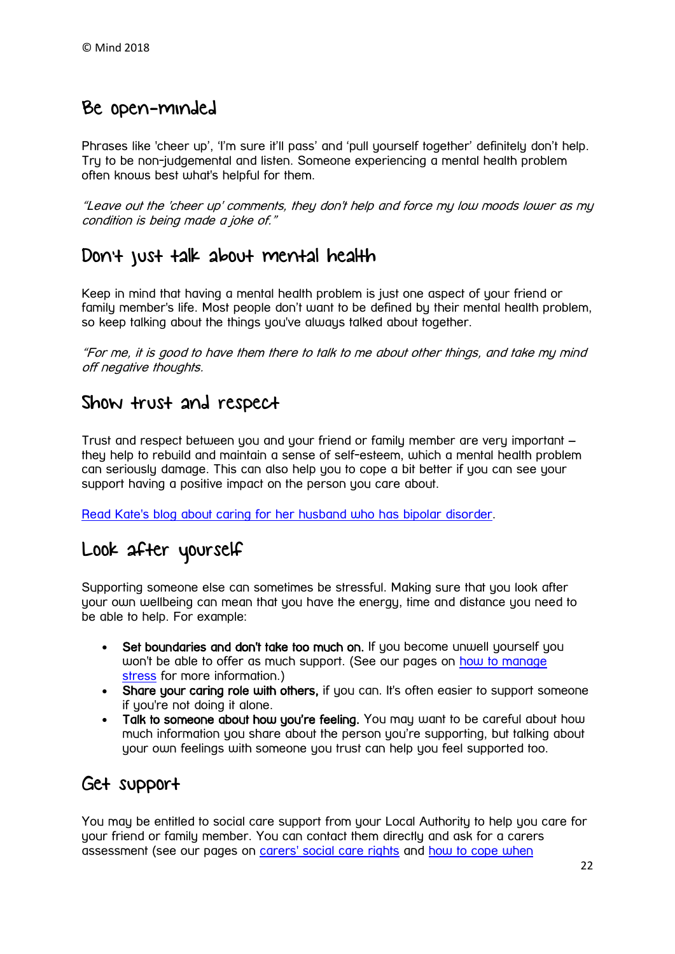### Be open-minded

Phrases like 'cheer up', 'I'm sure it'll pass' and 'pull yourself together' definitely don't help. Try to be non-judgemental and listen. Someone experiencing a mental health problem often knows best what's helpful for them.

"Leave out the 'cheer up' comments, they don't help and force my low moods lower as my condition is being made a joke of."

### Don't just talk about mental health

Keep in mind that having a mental health problem is just one aspect of your friend or family member's life. Most people don't want to be defined by their mental health problem, so keep talking about the things you've always talked about together.

"For me, it is good to have them there to talk to me about other things, and take my mind off negative thoughts.

### Show trust and respect

Trust and respect between you and your friend or family member are very important – they help to rebuild and maintain a sense of self-esteem, which a mental health problem can seriously damage. This can also help you to cope a bit better if you can see your support having a positive impact on the person you care about.

Read Kate's blog about [caring for her husband who has bipolar disorder.](https://www.mind.org.uk/information-support/your-stories/caring-for-my-husband-with-bipolar/#.WOynmbsrIlI)

# Look after yourself

Supporting someone else can sometimes be stressful. Making sure that you look after your own wellbeing can mean that you have the energy, time and distance you need to be able to help. For example:

- Set boundaries and don't take too much on. If you become unwell yourself you won't be able to offer as much support. (See our pages on how to manage [stress](https://www.mind.org.uk/information-support/types-of-mental-health-problems/stress/) for more information.)
- Share your caring role with others, if you can. It's often easier to support someone if you're not doing it alone.
- Talk to someone about how you're feeling. You may want to be careful about how much information you share about the person you're supporting, but talking about your own feelings with someone you trust can help you feel supported too.

### Get support

You may be entitled to social care support from your Local Authority to help you care for your friend or family member. You can contact them directly and ask for a carers assessment (see our pages on [carers' social care rights](https://www.mind.org.uk/information-support/legal-rights/health-and-social-care-rights/carers-social-care-rights/) and [how to cope when](https://www.mind.org.uk/information-support/helping-someone-else/carers-friends-family-coping-support/)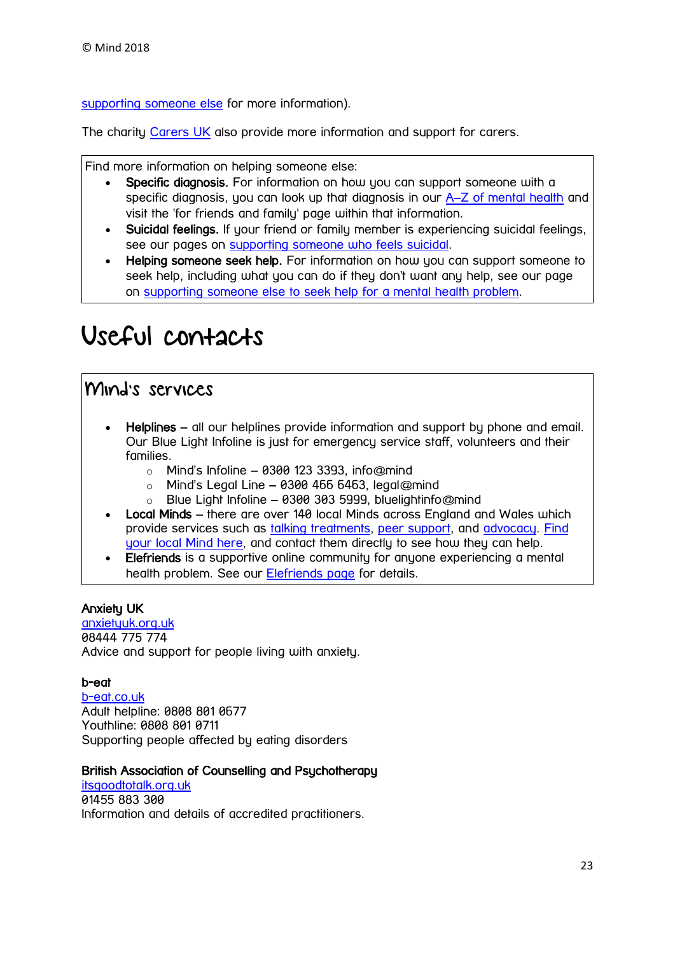[supporting someone else](https://www.mind.org.uk/information-support/helping-someone-else/carers-friends-family-coping-support/) for more information).

The charity [Carers UK](http://www.carersuk.org/) also provide more information and support for carers.

Find more information on helping someone else:

- Specific diagnosis. For information on how you can support someone with a specific diagnosis, you can look up that diagnosis in our A–[Z of mental health](https://www.mind.org.uk/information-support/a-z-mental-health/) and visit the 'for friends and family' page within that information.
- Suicidal feelings. If your friend or family member is experiencing suicidal feelings, see our pages on [supporting someone who feels suicidal.](https://www.mind.org.uk/information-support/helping-someone-else/supporting-someone-who-feels-suicidal/)
- Helping someone seek help. For information on how you can support someone to seek help, including what you can do if they don't want any help, see our page on [supporting someone else to seek help for a mental health problem.](https://www.mind.org.uk/information-support/guides-to-support-and-services/seeking-help-for-a-mental-health-problem/helping-someone-else-seek-help/)

# <span id="page-22-0"></span>Useful contacts

### Mind's services

- Helplines all our helplines provide information and support by phone and email. Our Blue Light Infoline is just for emergency service staff, volunteers and their families.
	- $\circ$  Mind's Infoline 0300 123 3393, info@mind
	- $\circ$  Mind's Legal Line 0300 466 6463, legal@mind
	- o Blue Light Infoline 0300 303 5999, bluelightinfo@mind
- Local Minds there are over 140 local Minds across England and Wales which provide services such as [talking treatments,](https://www.mind.org.uk/information-support/drugs-and-treatments/talking-treatments/) [peer support,](https://www.mind.org.uk/information-support/drugs-and-treatments/peer-support/) and [advocacy.](https://www.mind.org.uk/information-support/guides-to-support-and-services/advocacy/) [Find](https://www.mind.org.uk/information-support/local-minds/)  [your local Mind here,](https://www.mind.org.uk/information-support/local-minds/) and contact them directly to see how they can help.
- Elefriends is a supportive online community for anyone experiencing a mental health problem. See our [Elefriends page](https://www.mind.org.uk/elefriends/) for details.

#### Anxiety UK

[anxietyuk.org.uk](https://www.anxietyuk.org.uk/) 08444 775 774 Advice and support for people living with anxiety.

#### b-eat

[b-eat.co.uk](https://www.b-eat.co.uk/) Adult helpline: 0808 801 0677 Youthline: 0808 801 0711 Supporting people affected by eating disorders

#### British Association of Counselling and Psychotherapy

[itsgoodtotalk.org.uk](http://itsgoodtotalk.org.uk/) 01455 883 300 Information and details of accredited practitioners.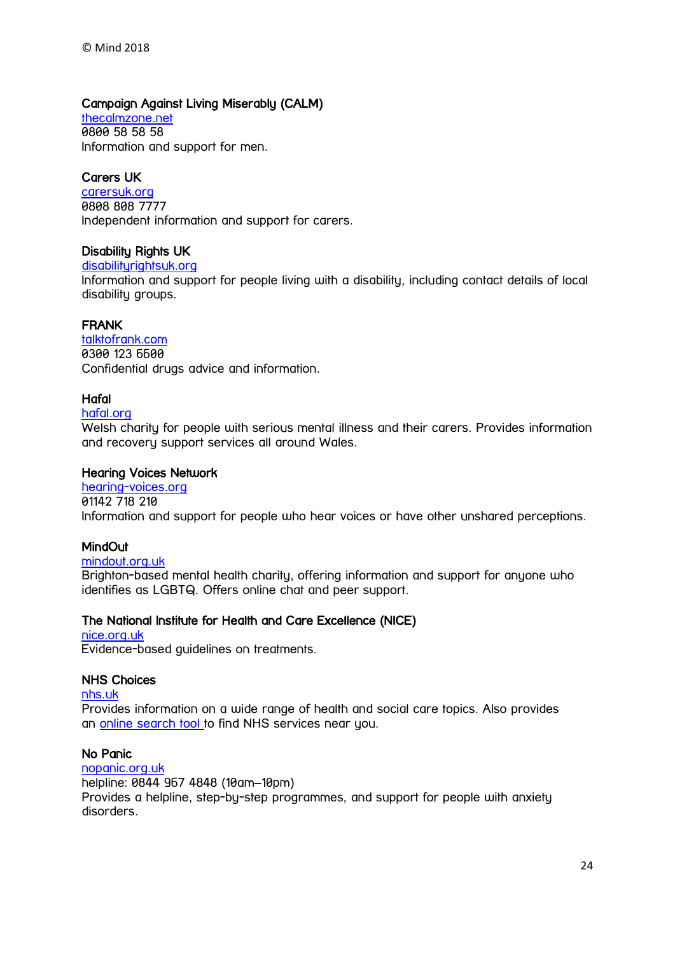#### Campaign Against Living Miserably (CALM)

[thecalmzone.net](https://www.thecalmzone.net/) 0800 58 58 58 Information and support for men.

#### Carers UK

[carersuk.org](http://www.carersuk.org/) 0808 808 7777 Independent information and support for carers.

#### Disability Rights UK

#### [disabilityrightsuk.org](http://www.disabilityrightsuk.org/)

Information and support for people living with a disability, including contact details of local disability groups.

#### FRANK

[talktofrank.com](http://www.talktofrank.com/) 0300 123 6600 Confidential drugs advice and information.

#### Hafal

#### [hafal.org](http://www.hafal.org/)

Welsh charity for people with serious mental illness and their carers. Provides information and recovery support services all around Wales.

#### Hearing Voices Network

[hearing-voices.org](http://www.hearing-voices.org/) 01142 718 210 Information and support for people who hear voices or have other unshared perceptions.

#### **MindOut**

#### [mindout.org.uk](http://www.mindout.org.uk/)

Brighton-based mental health charity, offering information and support for anyone who identifies as LGBTQ. Offers online chat and peer support.

#### The National Institute for Health and Care Excellence (NICE)

#### [nice.org.uk](http://www.nice.org.uk/) Evidence-based guidelines on treatments.

#### NHS Choices

[nhs.uk](http://www.nhs.uk/Pages/HomePage.aspx)

Provides information on a wide range of health and social care topics. Also provides an [online search tool](http://www.nhs.uk/Service-Search) to find NHS services near you.

#### No Panic

[nopanic.org.uk](http://www.nopanic.org.uk/) helpline: 0844 967 4848 (10am–10pm) Provides a helpline, step-by-step programmes, and support for people with anxiety disorders.